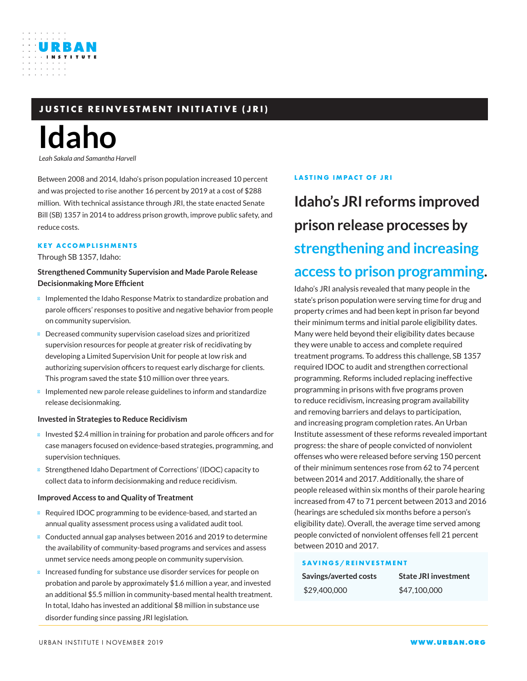### **JUSTICE REINVESTMENT INITIATIVE (JRI)**

# **Idaho**

URBAN

*Leah Sakala and Samantha Harvell*

Between 2008 and 2014, Idaho's prison population increased 10 percent and was projected to rise another 16 percent by 2019 at a cost of \$288 million. With technical assistance through JRI, the state enacted Senate Bill (SB) 1357 in 2014 to address prison growth, improve public safety, and reduce costs.

### **KEY ACCOMPLISHMENTS**

Through SB 1357, Idaho:

### **Strengthened Community Supervision and Made Parole Release Decisionmaking More Efficient**

Implemented the Idaho Response Matrix to standardize probation and parole officers' responses to positive and negative behavior from people on community supervision.

Decreased community supervision caseload sizes and prioritized supervision resources for people at greater risk of recidivating by developing a Limited Supervision Unit for people at low risk and authorizing supervision officers to request early discharge for clients. This program saved the state \$10 million over three years.

Implemented new parole release guidelines to inform and standardize release decisionmaking.

### **Invested in Strategies to Reduce Recidivism**

Invested \$2.4 million in training for probation and parole officers and for case managers focused on evidence-based strategies, programming, and supervision techniques.

Strengthened Idaho Department of Corrections' (IDOC) capacity to collect data to inform decisionmaking and reduce recidivism.

### **Improved Access to and Quality of Treatment**

Required IDOC programming to be evidence-based, and started an annual quality assessment process using a validated audit tool. Conducted annual gap analyses between 2016 and 2019 to determine the availability of community-based programs and services and assess unmet service needs among people on community supervision. Increased funding for substance use disorder services for people on probation and parole by approximately \$1.6 million a year, and invested an additional \$5.5 million in community-based mental health treatment. In total, Idaho has invested an additional \$8 million in substance use disorder funding since passing JRI legislation.

### **LASTING IMPACT OF JRI**

## **Idaho's JRI reforms improved prison release processes by strengthening and increasing access to prison programming.**

Idaho's JRI analysis revealed that many people in the state's prison population were serving time for drug and property crimes and had been kept in prison far beyond their minimum terms and initial parole eligibility dates. Many were held beyond their eligibility dates because they were unable to access and complete required treatment programs. To address this challenge, SB 1357 required IDOC to audit and strengthen correctional programming. Reforms included replacing ineffective programming in prisons with five programs proven to reduce recidivism, increasing program availability and removing barriers and delays to participation, and increasing program completion rates. An Urban Institute assessment of these reforms revealed important progress: the share of people convicted of nonviolent offenses who were released before serving 150 percent of their minimum sentences rose from 62 to 74 percent between 2014 and 2017. Additionally, the share of people released within six months of their parole hearing increased from 47 to 71 percent between 2013 and 2016 (hearings are scheduled six months before a person's eligibility date). Overall, the average time served among people convicted of nonviolent offenses fell 21 percent between 2010 and 2017.

#### **SAVINGS/REINVESTMENT**

| Savings/averted costs | <b>State JRI investment</b> |
|-----------------------|-----------------------------|
| \$29,400,000          | \$47,100,000                |